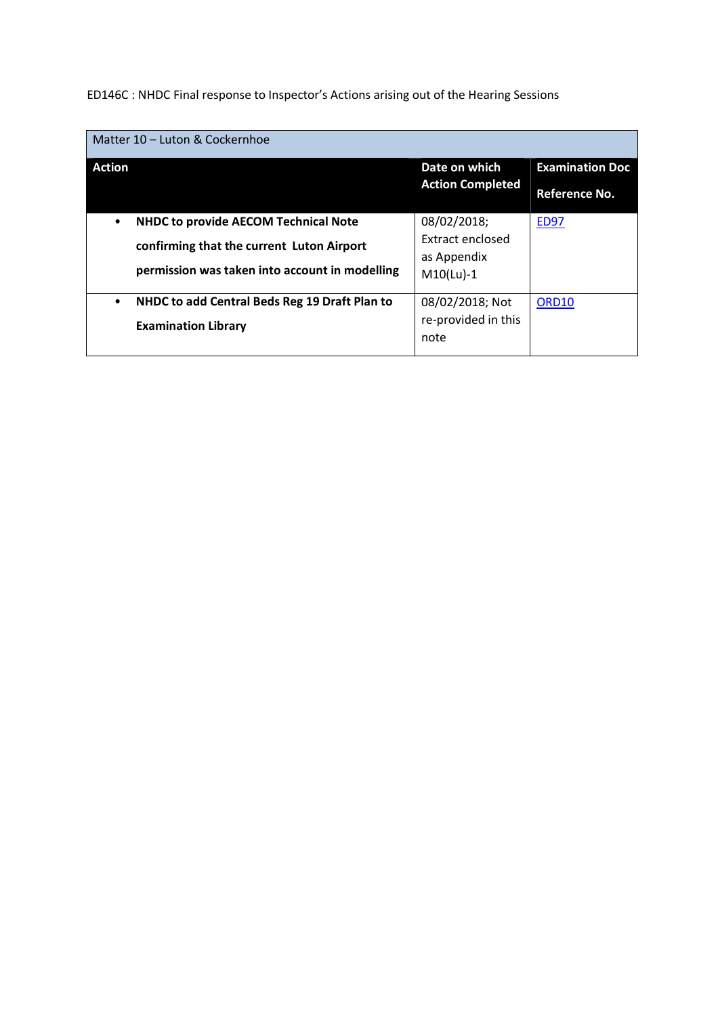ED146C : NHDC Final response to Inspector's Actions arising out of the Hearing Sessions

| Matter 10 - Luton & Cockernhoe                             |                         |                        |
|------------------------------------------------------------|-------------------------|------------------------|
| <b>Action</b>                                              | Date on which           | <b>Examination Doc</b> |
|                                                            | <b>Action Completed</b> | Reference No.          |
| <b>NHDC to provide AECOM Technical Note</b><br>$\bullet$   | 08/02/2018;             | <b>ED97</b>            |
| confirming that the current Luton Airport                  | Extract enclosed        |                        |
|                                                            | as Appendix             |                        |
| permission was taken into account in modelling             | $M10(Lu) - 1$           |                        |
| NHDC to add Central Beds Reg 19 Draft Plan to<br>$\bullet$ | 08/02/2018; Not         | ORD <sub>10</sub>      |
| <b>Examination Library</b>                                 | re-provided in this     |                        |
|                                                            | note                    |                        |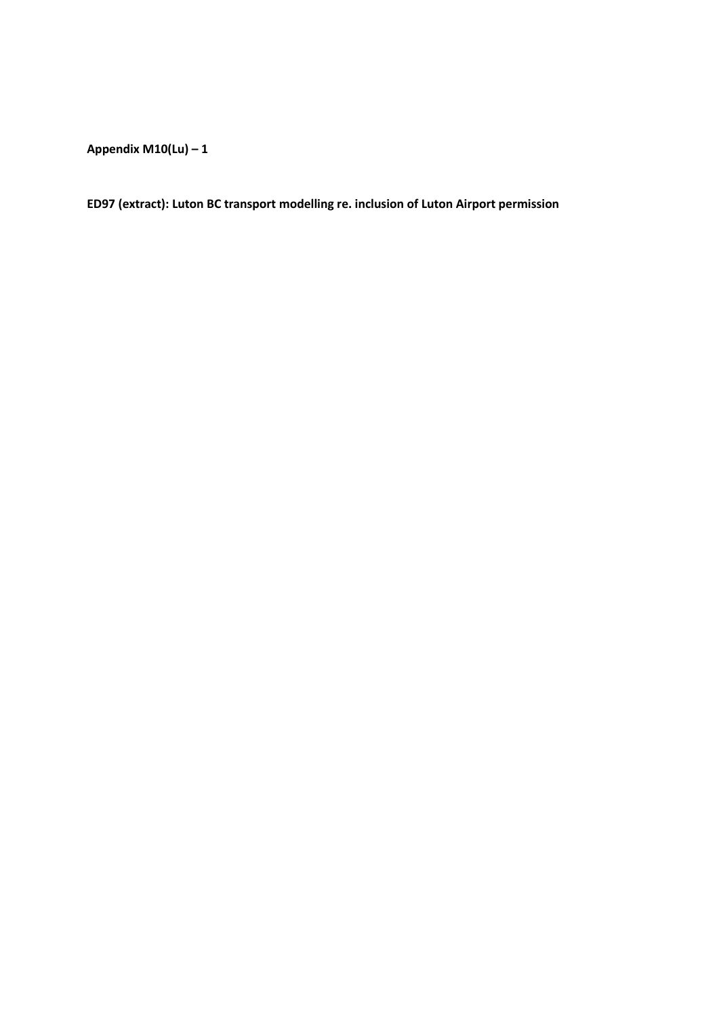**Appendix M10(Lu) – 1**

**ED97 (extract): Luton BC transport modelling re. inclusion of Luton Airport permission**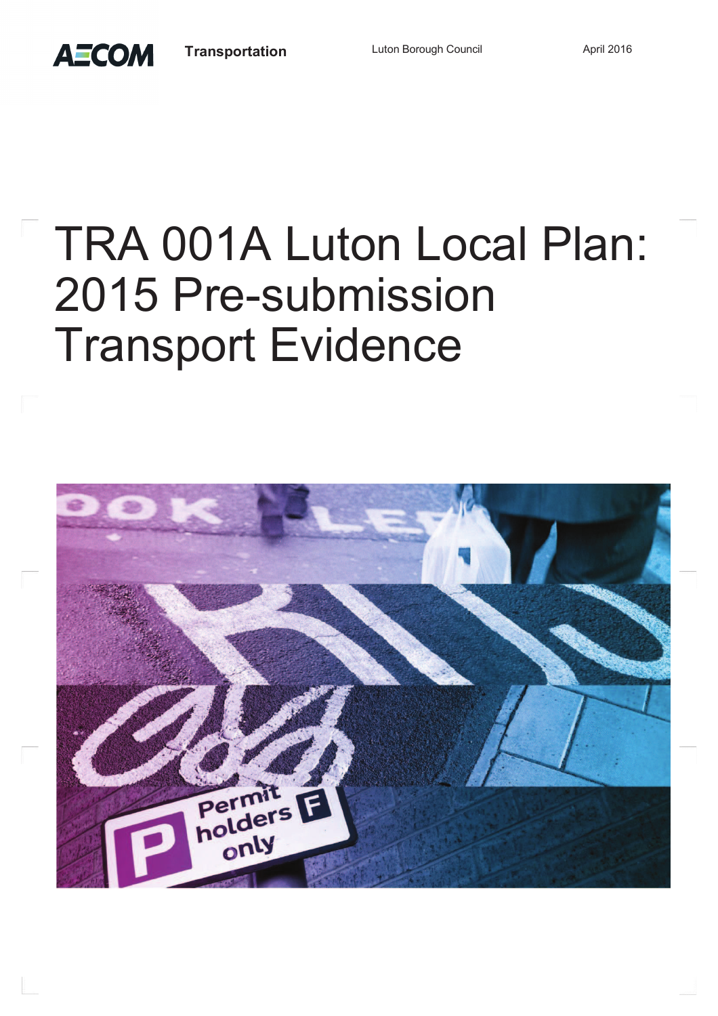**AECOM** 

## TRA 001A Luton Local Plan: 2015 Pre-submission Transport Evidence